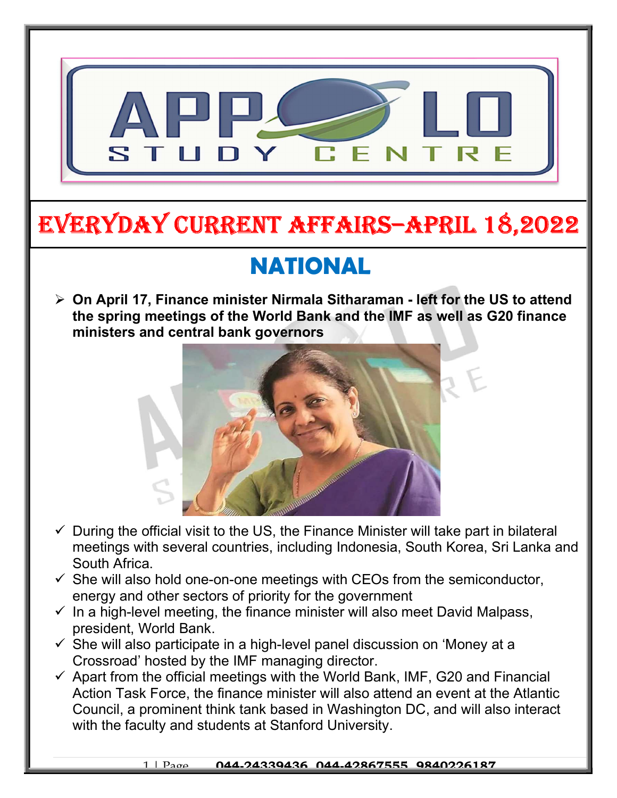

# EVERYDAY CURRENT AFFAIRS–ApRIl 18,2022

## NATIONAL

 On April 17, Finance minister Nirmala Sitharaman - left for the US to attend the spring meetings of the World Bank and the IMF as well as G20 finance ministers and central bank governors



- $\checkmark$  During the official visit to the US, the Finance Minister will take part in bilateral meetings with several countries, including Indonesia, South Korea, Sri Lanka and South Africa.
- $\checkmark$  She will also hold one-on-one meetings with CEOs from the semiconductor, energy and other sectors of priority for the government
- $\checkmark$  In a high-level meeting, the finance minister will also meet David Malpass, president, World Bank.
- $\checkmark$  She will also participate in a high-level panel discussion on 'Money at a Crossroad' hosted by the IMF managing director.
- $\checkmark$  Apart from the official meetings with the World Bank, IMF, G20 and Financial Action Task Force, the finance minister will also attend an event at the Atlantic Council, a prominent think tank based in Washington DC, and will also interact with the faculty and students at Stanford University.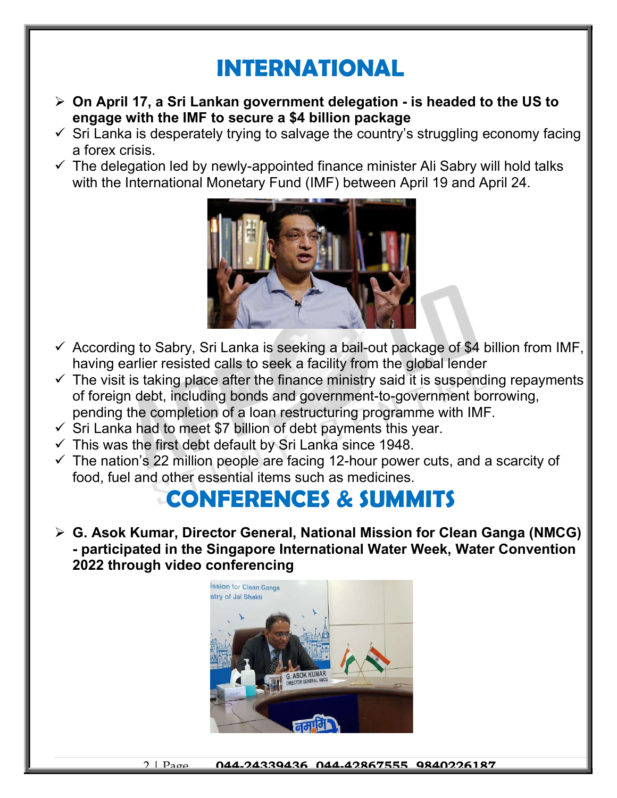### INTERNATIONAL

- $\triangleright$  On April 17, a Sri Lankan government delegation is headed to the US to engage with the IMF to secure a \$4 billion package
- $\checkmark$  Sri Lanka is desperately trying to salvage the country's struggling economy facing a forex crisis.
- $\checkmark$  The delegation led by newly-appointed finance minister Ali Sabry will hold talks with the International Monetary Fund (IMF) between April 19 and April 24.



- $\checkmark$  According to Sabry, Sri Lanka is seeking a bail-out package of \$4 billion from IMF, having earlier resisted calls to seek a facility from the global lender
- $\checkmark$  The visit is taking place after the finance ministry said it is suspending repayments of foreign debt, including bonds and government-to-government borrowing, pending the completion of a loan restructuring programme with IMF.
- $\checkmark$  Sri Lanka had to meet \$7 billion of debt payments this year.
- $\checkmark$  This was the first debt default by Sri Lanka since 1948.
- $\checkmark$  The nation's 22 million people are facing 12-hour power cuts, and a scarcity of food, fuel and other essential items such as medicines.

#### CONFERENCES & SUMMITS

 G. Asok Kumar, Director General, National Mission for Clean Ganga (NMCG) - participated in the Singapore International Water Week, Water Convention 2022 through video conferencing



2 | Page 044-24339436, 044-42867555, 9840226187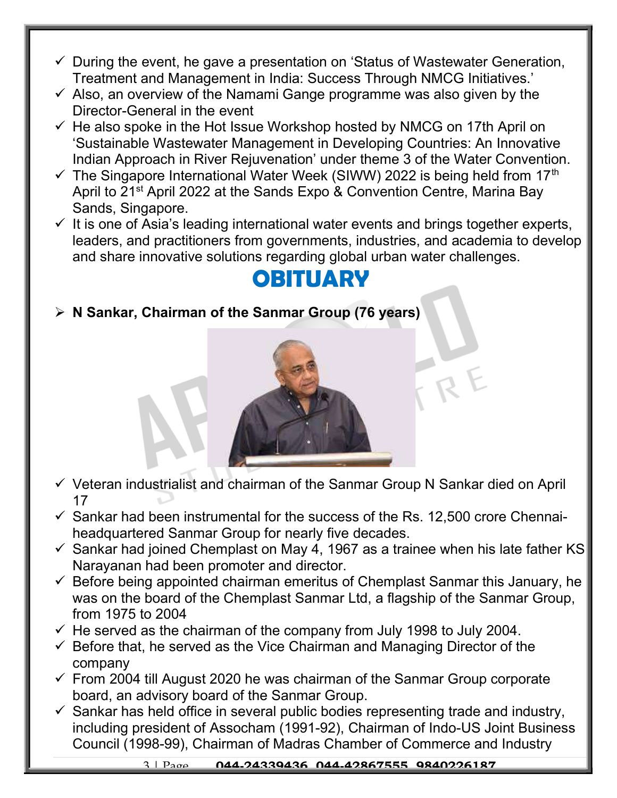- $\checkmark$  During the event, he gave a presentation on 'Status of Wastewater Generation, Treatment and Management in India: Success Through NMCG Initiatives.'
- $\checkmark$  Also, an overview of the Namami Gange programme was also given by the Director-General in the event
- $\checkmark$  He also spoke in the Hot Issue Workshop hosted by NMCG on 17th April on 'Sustainable Wastewater Management in Developing Countries: An Innovative Indian Approach in River Rejuvenation' under theme 3 of the Water Convention.
- $\checkmark$  The Singapore International Water Week (SIWW) 2022 is being held from 17<sup>th</sup> April to 21<sup>st</sup> April 2022 at the Sands Expo & Convention Centre, Marina Bay Sands, Singapore.
- $\checkmark$  It is one of Asia's leading international water events and brings together experts, leaders, and practitioners from governments, industries, and academia to develop and share innovative solutions regarding global urban water challenges.

#### **OBITUARY**

 $\triangleright$  N Sankar, Chairman of the Sanmar Group (76 years)



- $\checkmark$  Veteran industrialist and chairman of the Sanmar Group N Sankar died on April 17
- $\checkmark$  Sankar had been instrumental for the success of the Rs. 12,500 crore Chennaiheadquartered Sanmar Group for nearly five decades.
- $\checkmark$  Sankar had joined Chemplast on May 4, 1967 as a trainee when his late father KS Narayanan had been promoter and director.
- $\checkmark$  Before being appointed chairman emeritus of Chemplast Sanmar this January, he was on the board of the Chemplast Sanmar Ltd, a flagship of the Sanmar Group, from 1975 to 2004
- $\checkmark$  He served as the chairman of the company from July 1998 to July 2004.
- $\checkmark$  Before that, he served as the Vice Chairman and Managing Director of the company
- $\checkmark$  From 2004 till August 2020 he was chairman of the Sanmar Group corporate board, an advisory board of the Sanmar Group.
- $\checkmark$  Sankar has held office in several public bodies representing trade and industry, including president of Assocham (1991-92), Chairman of Indo-US Joint Business Council (1998-99), Chairman of Madras Chamber of Commerce and Industry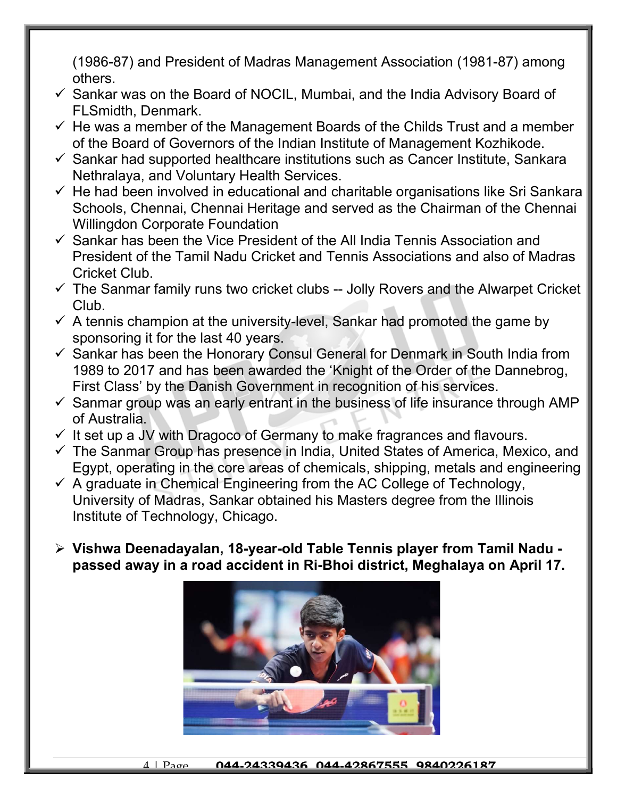(1986-87) and President of Madras Management Association (1981-87) among others.

- $\checkmark$  Sankar was on the Board of NOCIL, Mumbai, and the India Advisory Board of FLSmidth, Denmark.
- $\checkmark$  He was a member of the Management Boards of the Childs Trust and a member of the Board of Governors of the Indian Institute of Management Kozhikode.
- $\checkmark$  Sankar had supported healthcare institutions such as Cancer Institute, Sankara Nethralaya, and Voluntary Health Services.
- $\checkmark$  He had been involved in educational and charitable organisations like Sri Sankara Schools, Chennai, Chennai Heritage and served as the Chairman of the Chennai Willingdon Corporate Foundation
- $\checkmark$  Sankar has been the Vice President of the All India Tennis Association and President of the Tamil Nadu Cricket and Tennis Associations and also of Madras Cricket Club.
- $\checkmark$  The Sanmar family runs two cricket clubs -- Jolly Rovers and the Alwarpet Cricket Club.
- $\checkmark$  A tennis champion at the university-level, Sankar had promoted the game by sponsoring it for the last 40 years.
- $\checkmark$  Sankar has been the Honorary Consul General for Denmark in South India from 1989 to 2017 and has been awarded the 'Knight of the Order of the Dannebrog, First Class' by the Danish Government in recognition of his services.
- $\checkmark$  Sanmar group was an early entrant in the business of life insurance through AMP of Australia.
- $\checkmark$  It set up a JV with Dragoco of Germany to make fragrances and flavours.
- $\checkmark$  The Sanmar Group has presence in India, United States of America, Mexico, and Egypt, operating in the core areas of chemicals, shipping, metals and engineering
- $\checkmark$  A graduate in Chemical Engineering from the AC College of Technology, University of Madras, Sankar obtained his Masters degree from the Illinois Institute of Technology, Chicago.
- Vishwa Deenadayalan, 18-year-old Table Tennis player from Tamil Nadu passed away in a road accident in Ri-Bhoi district, Meghalaya on April 17.

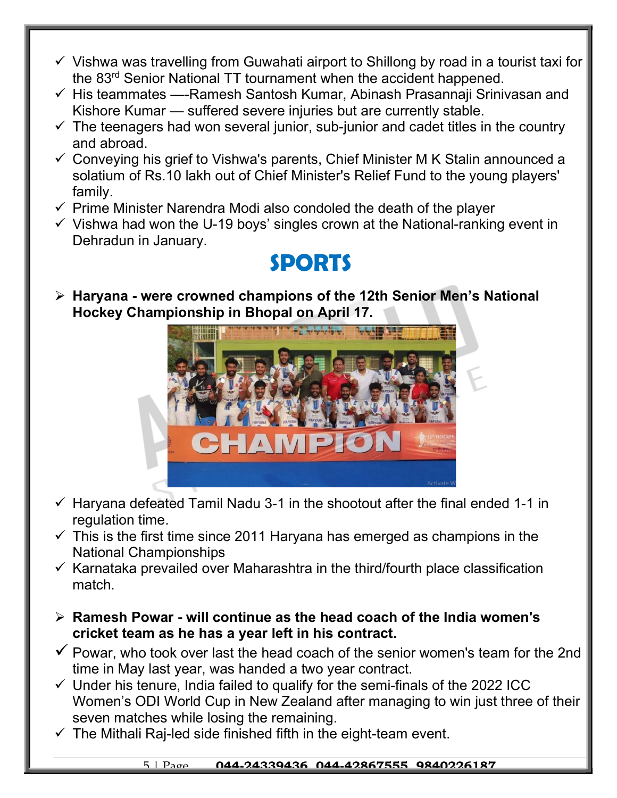- $\checkmark$  Vishwa was travelling from Guwahati airport to Shillong by road in a tourist taxi for the 83rd Senior National TT tournament when the accident happened.
- $\checkmark$  His teammates —-Ramesh Santosh Kumar, Abinash Prasannaji Srinivasan and Kishore Kumar — suffered severe injuries but are currently stable.
- $\checkmark$  The teenagers had won several junior, sub-junior and cadet titles in the country and abroad.
- $\checkmark$  Conveying his grief to Vishwa's parents, Chief Minister M K Stalin announced a solatium of Rs.10 lakh out of Chief Minister's Relief Fund to the young players' family.
- $\checkmark$  Prime Minister Narendra Modi also condoled the death of the player
- $\checkmark$  Vishwa had won the U-19 boys' singles crown at the National-ranking event in Dehradun in January.

#### SPORTS

 $\triangleright$  Haryana - were crowned champions of the 12th Senior Men's National Hockey Championship in Bhopal on April 17.



- $\checkmark$  Haryana defeated Tamil Nadu 3-1 in the shootout after the final ended 1-1 in regulation time.
- $\checkmark$  This is the first time since 2011 Haryana has emerged as champions in the National Championships
- $\checkmark$  Karnataka prevailed over Maharashtra in the third/fourth place classification match.
- $\triangleright$  Ramesh Powar will continue as the head coach of the India women's cricket team as he has a year left in his contract.
- $\checkmark$  Powar, who took over last the head coach of the senior women's team for the 2nd time in May last year, was handed a two year contract.
- $\checkmark$  Under his tenure, India failed to qualify for the semi-finals of the 2022 ICC Women's ODI World Cup in New Zealand after managing to win just three of their seven matches while losing the remaining.
- $\checkmark$  The Mithali Raj-led side finished fifth in the eight-team event.